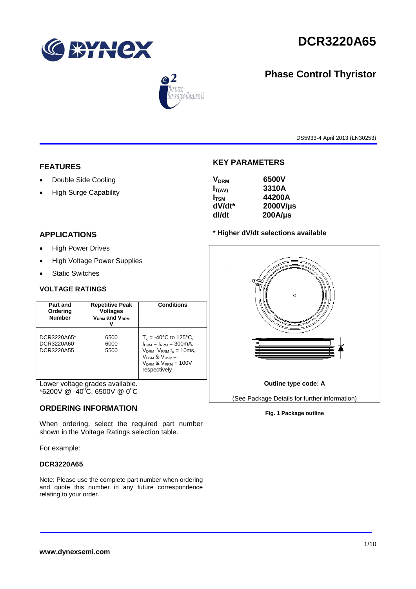

**Phase Control Thyristor**



# $\circledast$ .<br>blant

DS5933-4 April 2013 (LN30253)

## **FEATURES**

- Double Side Cooling
- High Surge Capability

## **APPLICATIONS**

- High Power Drives
- High Voltage Power Supplies
- Static Switches

#### **VOLTAGE RATINGS**

| Part and<br>Ordering<br><b>Number</b>   | <b>Repetitive Peak</b><br><b>Voltages</b><br><b>VDRM</b> and VRRM | <b>Conditions</b>                                                                                                                                                             |
|-----------------------------------------|-------------------------------------------------------------------|-------------------------------------------------------------------------------------------------------------------------------------------------------------------------------|
| DCR3220A65*<br>DCR3220A60<br>DCR3220A55 | 6500<br>6000<br>5500                                              | $T_{\rm vi}$ = -40°C to 125°C,<br>$IDRM = IRRM = 300mA.$<br>$VDRM$ , $VRRM$ t <sub>p</sub> = 10ms,<br>$V_{DSM}$ & $V_{RSM}$ =<br>$V_{DRM}$ & $V_{RRM}$ + 100V<br>respectively |

Lower voltage grades available.  $*6200V \ @ \ -40^{\circ}\text{C}, 6500V \ @ \ 0^{\circ}\text{C}$ 

#### **ORDERING INFORMATION**

When ordering, select the required part number shown in the Voltage Ratings selection table.

For example:

#### **DCR3220A65**

Note: Please use the complete part number when ordering and quote this number in any future correspondence relating to your order.

## **KEY PARAMETERS**

| <b>V<sub>DRM</sub></b> | 6500V        |
|------------------------|--------------|
| $I_{T(AV)}$            | 3310A        |
| $I_{\rm TSM}$          | 44200A       |
| dV/dt*                 | 2000V/µs     |
| dl/dt                  | $200A/\mu s$ |
|                        |              |

#### \* **Higher dV/dt selections available**



#### **Fig. 1 Package outline**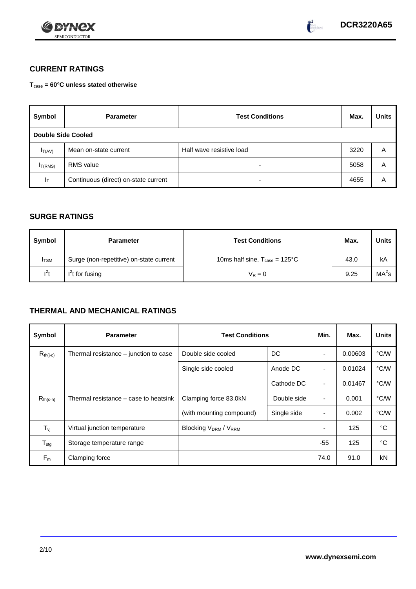



# **CURRENT RATINGS**

**Tcase = 60°C unless stated otherwise**

| Symbol                    | <b>Parameter</b>                     | <b>Test Conditions</b>   | Max. | <b>Units</b> |
|---------------------------|--------------------------------------|--------------------------|------|--------------|
| <b>Double Side Cooled</b> |                                      |                          |      |              |
| $I_{T(AV)}$               | Mean on-state current                | Half wave resistive load | 3220 | Α            |
| I <sub>T(RMS)</sub>       | RMS value                            | -                        | 5058 | Α            |
| Iт                        | Continuous (direct) on-state current | -                        | 4655 | Α            |

## **SURGE RATINGS**

| Symbol       | <b>Parameter</b>                        | <b>Test Conditions</b>                           | Max. | <b>Units</b>      |
|--------------|-----------------------------------------|--------------------------------------------------|------|-------------------|
| <b>I</b> TSM | Surge (non-repetitive) on-state current | 10ms half sine, $T_{\text{case}} = 125^{\circ}C$ | 43.0 | kA                |
| $l^2t$       | $I2t$ for fusing                        | $V_R = 0$                                        | 9.25 | MA <sup>2</sup> s |

# **THERMAL AND MECHANICAL RATINGS**

| Symbol           | <b>Parameter</b>                      | <b>Test Conditions</b>      |             | Min.                     | Max.    | <b>Units</b> |
|------------------|---------------------------------------|-----------------------------|-------------|--------------------------|---------|--------------|
| $R_{th(j-c)}$    | Thermal resistance – junction to case | Double side cooled          | DC          |                          | 0.00603 | °C/W         |
|                  |                                       | Single side cooled          | Anode DC    |                          | 0.01024 | °C/W         |
|                  |                                       |                             | Cathode DC  | $\overline{\phantom{a}}$ | 0.01467 | °C/W         |
| $R_{th(c-h)}$    | Thermal resistance – case to heatsink | Clamping force 83.0kN       | Double side | $\blacksquare$           | 0.001   | °C/W         |
|                  |                                       | (with mounting compound)    | Single side |                          | 0.002   | °C/W         |
| $T_{\rm vj}$     | Virtual junction temperature          | <b>Blocking VDRM / VRRM</b> |             |                          | 125     | °C           |
| $T_{\text{stg}}$ | Storage temperature range             |                             |             | $-55$                    | 125     | °C           |
| $F_m$            | Clamping force                        |                             |             | 74.0                     | 91.0    | kN           |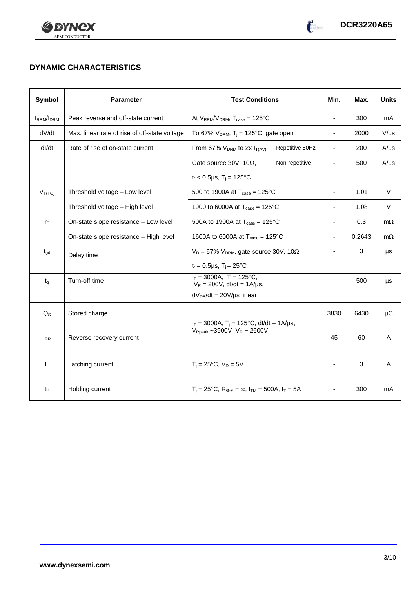



# **DYNAMIC CHARACTERISTICS**

| Symbol            | <b>Parameter</b>                              | <b>Test Conditions</b>                                                                            |                 | Min.                     | Max.   | <b>Units</b> |
|-------------------|-----------------------------------------------|---------------------------------------------------------------------------------------------------|-----------------|--------------------------|--------|--------------|
| <b>IRRM</b> /IDRM | Peak reverse and off-state current            | At $V_{RRM}/V_{DRM}$ , $T_{case} = 125^{\circ}C$                                                  |                 | $\blacksquare$           | 300    | mA           |
| dV/dt             | Max. linear rate of rise of off-state voltage | To 67% $V_{DRM}$ , T <sub>j</sub> = 125°C, gate open                                              |                 | $\blacksquare$           | 2000   | $V/\mu s$    |
| dl/dt             | Rate of rise of on-state current              | From 67% $V_{DRM}$ to 2x $I_{T(AV)}$                                                              | Repetitive 50Hz | $\overline{\phantom{a}}$ | 200    | $A/\mu s$    |
|                   |                                               | Gate source 30V, 10 $\Omega$ ,                                                                    | Non-repetitive  |                          | 500    | $A/\mu s$    |
|                   |                                               | $t_r$ < 0.5µs, T <sub>i</sub> = 125°C                                                             |                 |                          |        |              |
| $V_{T(TO)}$       | Threshold voltage - Low level                 | 500 to 1900A at $T_{\text{case}} = 125^{\circ}C$                                                  |                 | $\blacksquare$           | 1.01   | $\vee$       |
|                   | Threshold voltage - High level                | 1900 to 6000A at $T_{\text{case}} = 125^{\circ}C$                                                 |                 | $\overline{\phantom{a}}$ | 1.08   | V            |
| $r_{\text{T}}$    | On-state slope resistance - Low level         | 500A to 1900A at $T_{\text{case}} = 125^{\circ}C$                                                 |                 | $\overline{\phantom{a}}$ | 0.3    | $m\Omega$    |
|                   | On-state slope resistance - High level        | 1600A to 6000A at $T_{\text{case}} = 125^{\circ}$ C                                               |                 | $\blacksquare$           | 0.2643 | $m\Omega$    |
| $t_{gd}$          | Delay time                                    | $V_D = 67\%$ V <sub>DRM</sub> , gate source 30V, 10 $\Omega$                                      |                 |                          | 3      | μs           |
|                   |                                               | $t_r = 0.5 \mu s$ , $T_i = 25$ °C                                                                 |                 |                          |        |              |
| $t_{q}$           | Turn-off time                                 | $I_T = 3000A$ , $T_i = 125^{\circ}C$ ,<br>$V_R = 200V$ , dl/dt = 1A/µs,                           |                 |                          | 500    | μs           |
|                   |                                               | $dV_{DR}/dt = 20V/\mu s$ linear                                                                   |                 |                          |        |              |
| $Q_{S}$           | Stored charge                                 | $I_T = 3000A$ , $T_i = 125^{\circ}C$ , dl/dt - 1A/µs,<br>$V_{\text{Rpeak}}$ ~3900V, $V_R$ ~ 2600V |                 | 3830                     | 6430   | μC           |
| $I_{RR}$          | Reverse recovery current                      |                                                                                                   |                 | 45                       | 60     | A            |
| $I_L$             | Latching current                              | $T_i = 25^{\circ}C$ , $V_D = 5V$                                                                  |                 | $\blacksquare$           | 3      | A            |
| Īн                | Holding current                               | $T_i = 25^{\circ}C$ , $R_{G-K} = \infty$ , $I_{TM} = 500A$ , $I_T = 5A$                           |                 |                          | 300    | mA           |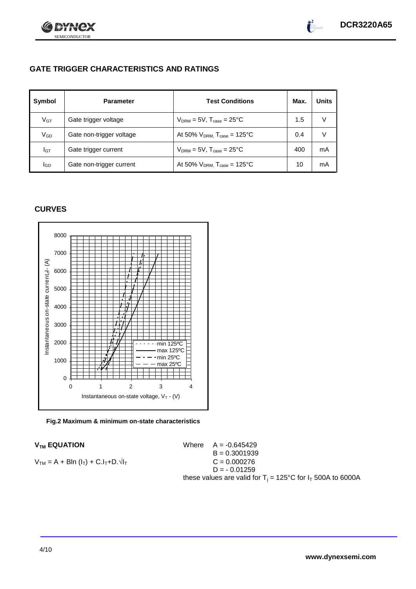

# **GATE TRIGGER CHARACTERISTICS AND RATINGS**

| Symbol          | <b>Parameter</b>         | <b>Test Conditions</b>                       | Max. | <b>Units</b> |
|-----------------|--------------------------|----------------------------------------------|------|--------------|
| V <sub>GT</sub> | Gate trigger voltage     | $V_{DRM} = 5V$ , $T_{case} = 25^{\circ}C$    | 1.5  | v            |
| V <sub>GD</sub> | Gate non-trigger voltage | At 50% $V_{DRM}$ , $T_{case}$ = 125°C        | 0.4  | V            |
| Iст             | Gate trigger current     | $V_{DRM} = 5V$ , $T_{case} = 25^{\circ}C$    | 400  | mA           |
| lgp             | Gate non-trigger current | At 50% $V_{DRM}$ , $T_{case} = 125^{\circ}C$ | 10   | mA           |

## **CURVES**



**Fig.2 Maximum & minimum on-state characteristics**

 $V_{TM}$  **EQUATION** Where  $A = -0.645429$  $B = 0.3001939$  $V_{TM} = A + Bln (I_T) + C.I_T + D.\sqrt{I_T}$  C = 0.000276  $D = -0.01259$ these values are valid for  $T_i = 125^{\circ}C$  for  $I_T$  500A to 6000A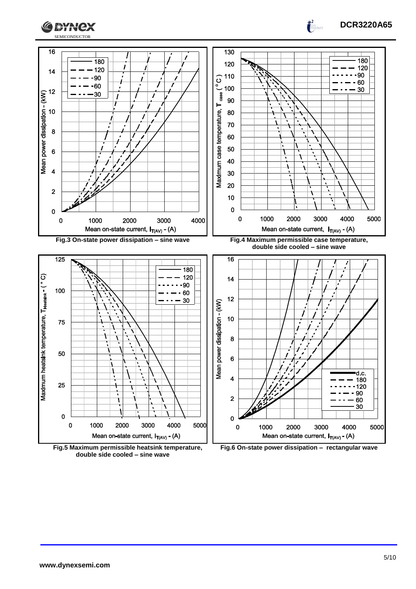



**DCR3220A65**

 $\int_0^2$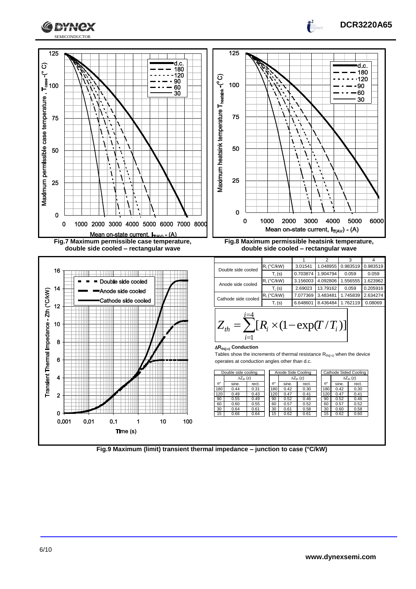



**Fig.9 Maximum (limit) transient thermal impedance – junction to case (°C/kW)**

**DCR3220A65**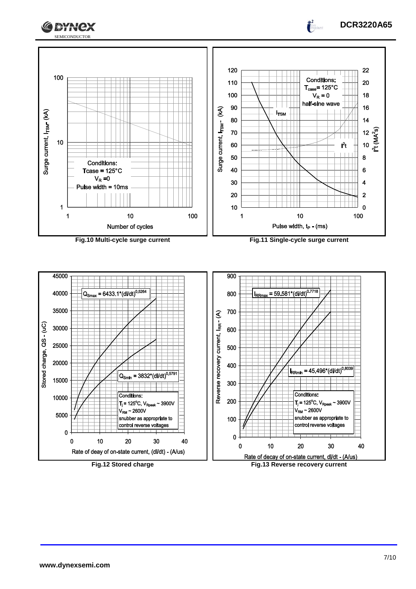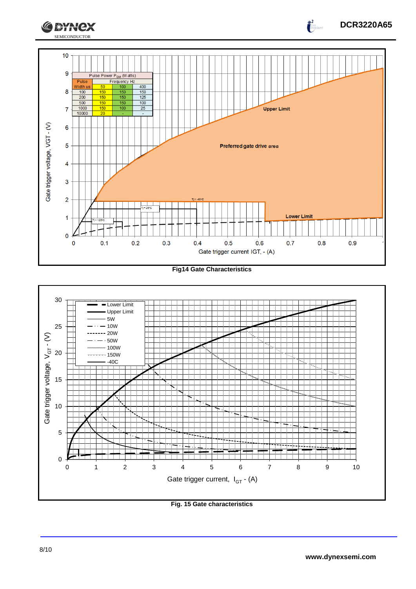

**Fig14 Gate Characteristics**



**Fig. 15 Gate characteristics**

**DCR3220A65**

 $\int_0^2$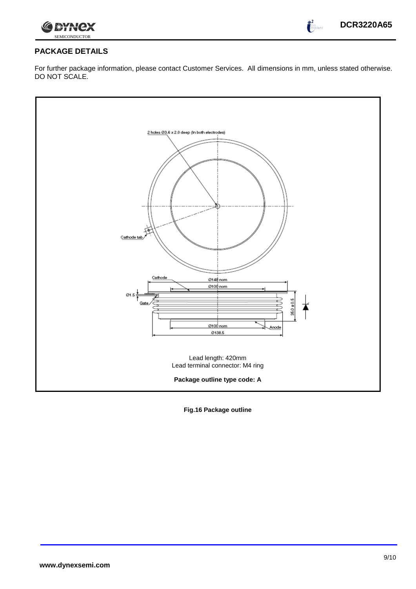

 $\frac{1}{2}$ 

## **PACKAGE DETAILS**

For further package information, please contact Customer Services. All dimensions in mm, unless stated otherwise. DO NOT SCALE.



**Fig.16 Package outline**